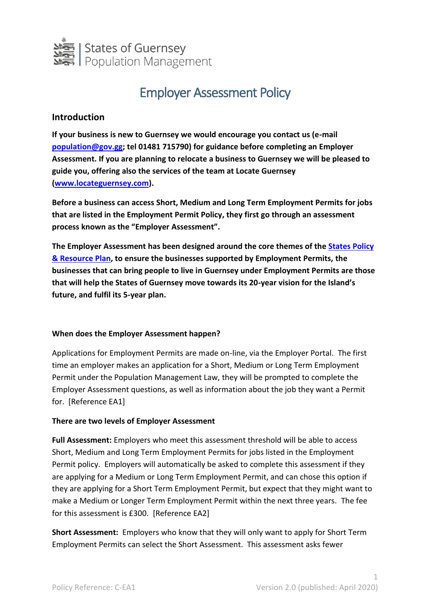

# Employer Assessment Policy

# **Introduction**

**If your business is new to Guernsey we would encourage you contact us (e-mail [population@gov.gg;](mailto:population@gov.gg) tel 01481 715790) for guidance before completing an Employer Assessment. If you are planning to relocate a business to Guernsey we will be pleased to guide you, offering also the services of the team at Locate Guernsey [\(www.locateguernsey.com\)](http://www.locateguernsey.com/).**

**Before a business can access Short, Medium and Long Term Employment Permits for jobs that are listed in the Employment Permit Policy, they first go through an assessment process known as the "Employer Assessment".** 

**The Employer Assessment has been designed around the core themes of th[e States Policy](https://gov.gg/policyandresourceplan)  [& Resource Plan,](https://gov.gg/policyandresourceplan) to ensure the businesses supported by Employment Permits, the businesses that can bring people to live in Guernsey under Employment Permits are those that will help the States of Guernsey move towards its 20-year vision for the Island's future, and fulfil its 5-year plan.**

#### **When does the Employer Assessment happen?**

Applications for Employment Permits are made on-line, via the Employer Portal. The first time an employer makes an application for a Short, Medium or Long Term Employment Permit under the Population Management Law, they will be prompted to complete the Employer Assessment questions, as well as information about the job they want a Permit for. [Reference EA1]

#### **There are two levels of Employer Assessment**

**Full Assessment:** Employers who meet this assessment threshold will be able to access Short, Medium and Long Term Employment Permits for jobs listed in the Employment Permit policy. Employers will automatically be asked to complete this assessment if they are applying for a Medium or Long Term Employment Permit, and can chose this option if they are applying for a Short Term Employment Permit, but expect that they might want to make a Medium or Longer Term Employment Permit within the next three years. The fee for this assessment is £300. [Reference EA2]

**Short Assessment:** Employers who know that they will only want to apply for Short Term Employment Permits can select the Short Assessment. This assessment asks fewer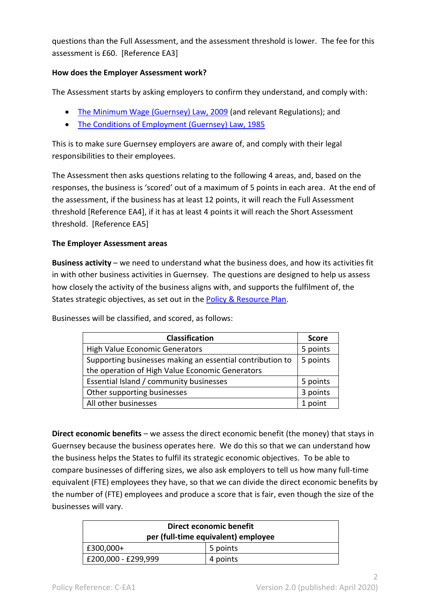questions than the Full Assessment, and the assessment threshold is lower. The fee for this assessment is £60. [Reference EA3]

## **How does the Employer Assessment work?**

The Assessment starts by asking employers to confirm they understand, and comply with:

- [The Minimum Wage \(Guernsey\) Law, 2009](http://www.guernseylegalresources.gg/CHttpHandler.ashx?id=71457&p=0) (and relevant Regulations); and
- [The Conditions of Employment \(Guernsey\) Law, 1985](http://www.guernseylegalresources.gg/CHttpHandler.ashx?id=71445&p=0)

This is to make sure Guernsey employers are aware of, and comply with their legal responsibilities to their employees.

The Assessment then asks questions relating to the following 4 areas, and, based on the responses, the business is 'scored' out of a maximum of 5 points in each area. At the end of the assessment, if the business has at least 12 points, it will reach the Full Assessment threshold [Reference EA4], if it has at least 4 points it will reach the Short Assessment threshold. [Reference EA5]

#### **The Employer Assessment areas**

**Business activity** – we need to understand what the business does, and how its activities fit in with other business activities in Guernsey. The questions are designed to help us assess how closely the activity of the business aligns with, and supports the fulfilment of, the States strategic objectives, as set out in the **Policy & Resource Plan**.

Businesses will be classified, and scored, as follows:

| <b>Classification</b>                                     | <b>Score</b> |
|-----------------------------------------------------------|--------------|
| High Value Economic Generators                            | 5 points     |
| Supporting businesses making an essential contribution to | 5 points     |
| the operation of High Value Economic Generators           |              |
| Essential Island / community businesses                   | 5 points     |
| Other supporting businesses                               | 3 points     |
| All other businesses                                      | 1 point      |

**Direct economic benefits** – we assess the direct economic benefit (the money) that stays in Guernsey because the business operates here. We do this so that we can understand how the business helps the States to fulfil its strategic economic objectives. To be able to compare businesses of differing sizes, we also ask employers to tell us how many full-time equivalent (FTE) employees they have, so that we can divide the direct economic benefits by the number of (FTE) employees and produce a score that is fair, even though the size of the businesses will vary.

| Direct economic benefit<br>per (full-time equivalent) employee |          |  |
|----------------------------------------------------------------|----------|--|
| $ $ £300,000+                                                  | 5 points |  |
| E200,000 - £299,999                                            | 4 points |  |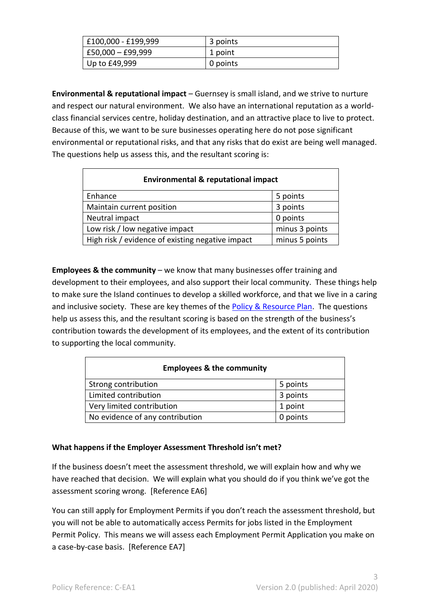| E100,000 - £199,999   | 3 points |
|-----------------------|----------|
| $ E50,000 - E99,999 $ | 1 point  |
| Up to $£49,999$       | 0 points |

**Environmental & reputational impact** – Guernsey is small island, and we strive to nurture and respect our natural environment. We also have an international reputation as a worldclass financial services centre, holiday destination, and an attractive place to live to protect. Because of this, we want to be sure businesses operating here do not pose significant environmental or reputational risks, and that any risks that do exist are being well managed. The questions help us assess this, and the resultant scoring is:

| <b>Environmental &amp; reputational impact</b>   |                |  |
|--------------------------------------------------|----------------|--|
| Enhance                                          | 5 points       |  |
| Maintain current position                        | 3 points       |  |
| Neutral impact                                   | 0 points       |  |
| Low risk / low negative impact                   | minus 3 points |  |
| High risk / evidence of existing negative impact | minus 5 points |  |

**Employees & the community** – we know that many businesses offer training and development to their employees, and also support their local community. These things help to make sure the Island continues to develop a skilled workforce, and that we live in a caring and inclusive society. These are key themes of the [Policy & Resource Plan.](https://gov.gg/policyandresourceplan) The questions help us assess this, and the resultant scoring is based on the strength of the business's contribution towards the development of its employees, and the extent of its contribution to supporting the local community.

| <b>Employees &amp; the community</b> |          |  |
|--------------------------------------|----------|--|
| Strong contribution                  | 5 points |  |
| Limited contribution                 | 3 points |  |
| Very limited contribution            | 1 point  |  |
| No evidence of any contribution      | 0 points |  |

# **What happens if the Employer Assessment Threshold isn't met?**

If the business doesn't meet the assessment threshold, we will explain how and why we have reached that decision. We will explain what you should do if you think we've got the assessment scoring wrong. [Reference EA6]

You can still apply for Employment Permits if you don't reach the assessment threshold, but you will not be able to automatically access Permits for jobs listed in the Employment Permit Policy. This means we will assess each Employment Permit Application you make on a case-by-case basis. [Reference EA7]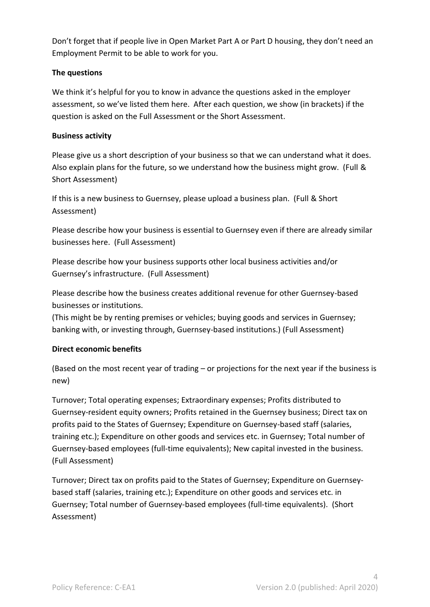Don't forget that if people live in Open Market Part A or Part D housing, they don't need an Employment Permit to be able to work for you.

# **The questions**

We think it's helpful for you to know in advance the questions asked in the employer assessment, so we've listed them here. After each question, we show (in brackets) if the question is asked on the Full Assessment or the Short Assessment.

## **Business activity**

Please give us a short description of your business so that we can understand what it does. Also explain plans for the future, so we understand how the business might grow. (Full & Short Assessment)

If this is a new business to Guernsey, please upload a business plan. (Full & Short Assessment)

Please describe how your business is essential to Guernsey even if there are already similar businesses here. (Full Assessment)

Please describe how your business supports other local business activities and/or Guernsey's infrastructure. (Full Assessment)

Please describe how the business creates additional revenue for other Guernsey-based businesses or institutions.

(This might be by renting premises or vehicles; buying goods and services in Guernsey; banking with, or investing through, Guernsey-based institutions.) (Full Assessment)

# **Direct economic benefits**

(Based on the most recent year of trading – or projections for the next year if the business is new)

Turnover; Total operating expenses; Extraordinary expenses; Profits distributed to Guernsey-resident equity owners; Profits retained in the Guernsey business; Direct tax on profits paid to the States of Guernsey; Expenditure on Guernsey-based staff (salaries, training etc.); Expenditure on other goods and services etc. in Guernsey; Total number of Guernsey-based employees (full-time equivalents); New capital invested in the business. (Full Assessment)

Turnover; Direct tax on profits paid to the States of Guernsey; Expenditure on Guernseybased staff (salaries, training etc.); Expenditure on other goods and services etc. in Guernsey; Total number of Guernsey-based employees (full-time equivalents). (Short Assessment)